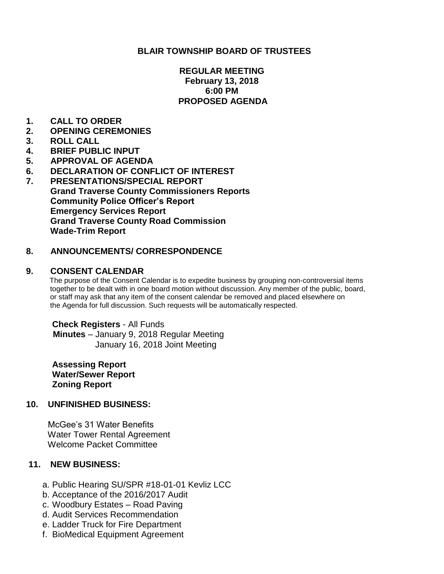## **BLAIR TOWNSHIP BOARD OF TRUSTEES**

## **REGULAR MEETING February 13, 2018 6:00 PM PROPOSED AGENDA**

- **1. CALL TO ORDER**
- **2. OPENING CEREMONIES**
- **3. ROLL CALL**
- **4. BRIEF PUBLIC INPUT**
- **5. APPROVAL OF AGENDA**
- **6. DECLARATION OF CONFLICT OF INTEREST**
- **7. PRESENTATIONS/SPECIAL REPORT Grand Traverse County Commissioners Reports Community Police Officer's Report Emergency Services Report Grand Traverse County Road Commission Wade-Trim Report**

## **8. ANNOUNCEMENTS/ CORRESPONDENCE**

#### **9. CONSENT CALENDAR**

 The purpose of the Consent Calendar is to expedite business by grouping non-controversial items together to be dealt with in one board motion without discussion. Any member of the public, board, or staff may ask that any item of the consent calendar be removed and placed elsewhere on the Agenda for full discussion. Such requests will be automatically respected.

 **Check Registers** - All Funds **Minutes** – January 9, 2018 Regular Meeting January 16, 2018 Joint Meeting

**Assessing Report Water/Sewer Report Zoning Report**

#### **10. UNFINISHED BUSINESS:**

McGee's 31 Water Benefits Water Tower Rental Agreement Welcome Packet Committee

## **11. NEW BUSINESS:**

- a. Public Hearing SU/SPR #18-01-01 Kevliz LCC
- b. Acceptance of the 2016/2017 Audit
- c. Woodbury Estates Road Paving
- d. Audit Services Recommendation
- e. Ladder Truck for Fire Department
- f. BioMedical Equipment Agreement